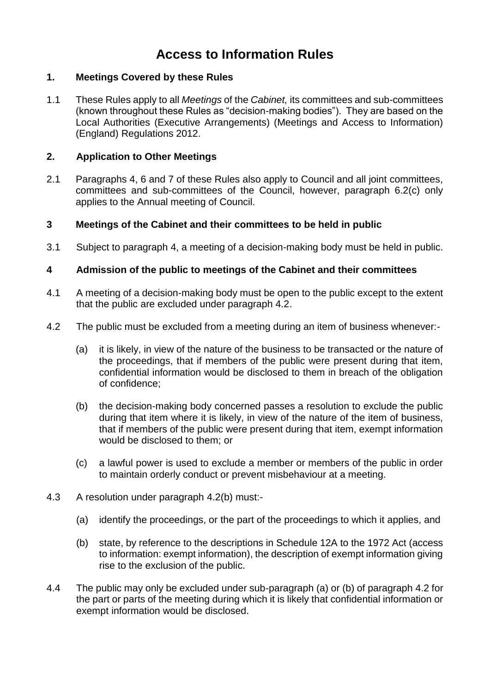# **Access to Information Rules**

# **1. Meetings Covered by these Rules**

1.1 These Rules apply to all *Meetings* of the *Cabinet,* its committees and sub-committees (known throughout these Rules as "decision-making bodies"). They are based on the Local Authorities (Executive Arrangements) (Meetings and Access to Information) (England) Regulations 2012.

# **2. Application to Other Meetings**

2.1 Paragraphs 4, 6 and 7 of these Rules also apply to Council and all joint committees, committees and sub-committees of the Council, however, paragraph 6.2(c) only applies to the Annual meeting of Council.

# **3 Meetings of the Cabinet and their committees to be held in public**

3.1 Subject to paragraph 4, a meeting of a decision-making body must be held in public.

# **4 Admission of the public to meetings of the Cabinet and their committees**

- 4.1 A meeting of a decision-making body must be open to the public except to the extent that the public are excluded under paragraph 4.2.
- 4.2 The public must be excluded from a meeting during an item of business whenever:-
	- (a) it is likely, in view of the nature of the business to be transacted or the nature of the proceedings, that if members of the public were present during that item, confidential information would be disclosed to them in breach of the obligation of confidence;
	- (b) the decision-making body concerned passes a resolution to exclude the public during that item where it is likely, in view of the nature of the item of business, that if members of the public were present during that item, exempt information would be disclosed to them; or
	- (c) a lawful power is used to exclude a member or members of the public in order to maintain orderly conduct or prevent misbehaviour at a meeting.
- 4.3 A resolution under paragraph 4.2(b) must:-
	- (a) identify the proceedings, or the part of the proceedings to which it applies, and
	- (b) state, by reference to the descriptions in Schedule 12A to the 1972 Act (access to information: exempt information), the description of exempt information giving rise to the exclusion of the public.
- 4.4 The public may only be excluded under sub-paragraph (a) or (b) of paragraph 4.2 for the part or parts of the meeting during which it is likely that confidential information or exempt information would be disclosed.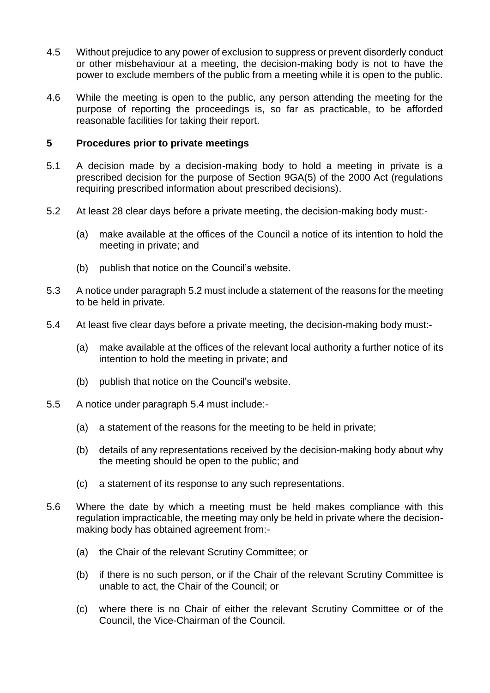- 4.5 Without prejudice to any power of exclusion to suppress or prevent disorderly conduct or other misbehaviour at a meeting, the decision-making body is not to have the power to exclude members of the public from a meeting while it is open to the public.
- 4.6 While the meeting is open to the public, any person attending the meeting for the purpose of reporting the proceedings is, so far as practicable, to be afforded reasonable facilities for taking their report.

#### **5 Procedures prior to private meetings**

- 5.1 A decision made by a decision-making body to hold a meeting in private is a prescribed decision for the purpose of Section 9GA(5) of the 2000 Act (regulations requiring prescribed information about prescribed decisions).
- 5.2 At least 28 clear days before a private meeting, the decision-making body must:-
	- (a) make available at the offices of the Council a notice of its intention to hold the meeting in private; and
	- (b) publish that notice on the Council's website.
- 5.3 A notice under paragraph 5.2 must include a statement of the reasons for the meeting to be held in private.
- 5.4 At least five clear days before a private meeting, the decision-making body must:-
	- (a) make available at the offices of the relevant local authority a further notice of its intention to hold the meeting in private; and
	- (b) publish that notice on the Council's website.
- 5.5 A notice under paragraph 5.4 must include:-
	- (a) a statement of the reasons for the meeting to be held in private;
	- (b) details of any representations received by the decision-making body about why the meeting should be open to the public; and
	- (c) a statement of its response to any such representations.
- 5.6 Where the date by which a meeting must be held makes compliance with this regulation impracticable, the meeting may only be held in private where the decisionmaking body has obtained agreement from:-
	- (a) the Chair of the relevant Scrutiny Committee; or
	- (b) if there is no such person, or if the Chair of the relevant Scrutiny Committee is unable to act, the Chair of the Council; or
	- (c) where there is no Chair of either the relevant Scrutiny Committee or of the Council, the Vice-Chairman of the Council.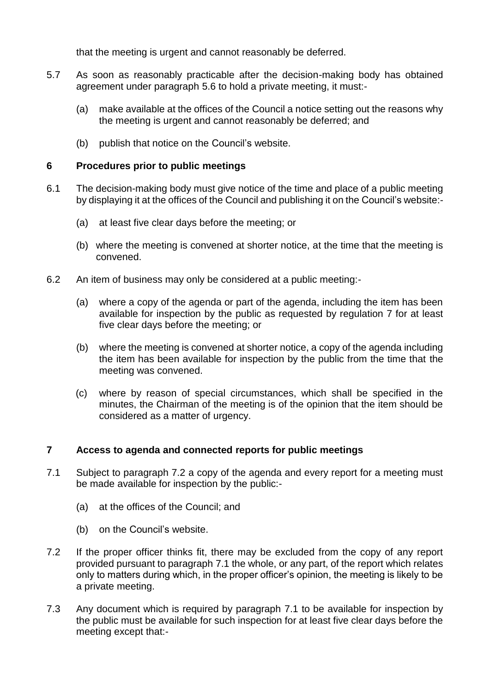that the meeting is urgent and cannot reasonably be deferred.

- 5.7 As soon as reasonably practicable after the decision-making body has obtained agreement under paragraph 5.6 to hold a private meeting, it must:-
	- (a) make available at the offices of the Council a notice setting out the reasons why the meeting is urgent and cannot reasonably be deferred; and
	- (b) publish that notice on the Council's website.

# **6 Procedures prior to public meetings**

- 6.1 The decision-making body must give notice of the time and place of a public meeting by displaying it at the offices of the Council and publishing it on the Council's website:-
	- (a) at least five clear days before the meeting; or
	- (b) where the meeting is convened at shorter notice, at the time that the meeting is convened.
- 6.2 An item of business may only be considered at a public meeting:-
	- (a) where a copy of the agenda or part of the agenda, including the item has been available for inspection by the public as requested by regulation 7 for at least five clear days before the meeting; or
	- (b) where the meeting is convened at shorter notice, a copy of the agenda including the item has been available for inspection by the public from the time that the meeting was convened.
	- (c) where by reason of special circumstances, which shall be specified in the minutes, the Chairman of the meeting is of the opinion that the item should be considered as a matter of urgency.

#### **7 Access to agenda and connected reports for public meetings**

- 7.1 Subject to paragraph 7.2 a copy of the agenda and every report for a meeting must be made available for inspection by the public:-
	- (a) at the offices of the Council; and
	- (b) on the Council's website.
- 7.2 If the proper officer thinks fit, there may be excluded from the copy of any report provided pursuant to paragraph 7.1 the whole, or any part, of the report which relates only to matters during which, in the proper officer's opinion, the meeting is likely to be a private meeting.
- 7.3 Any document which is required by paragraph 7.1 to be available for inspection by the public must be available for such inspection for at least five clear days before the meeting except that:-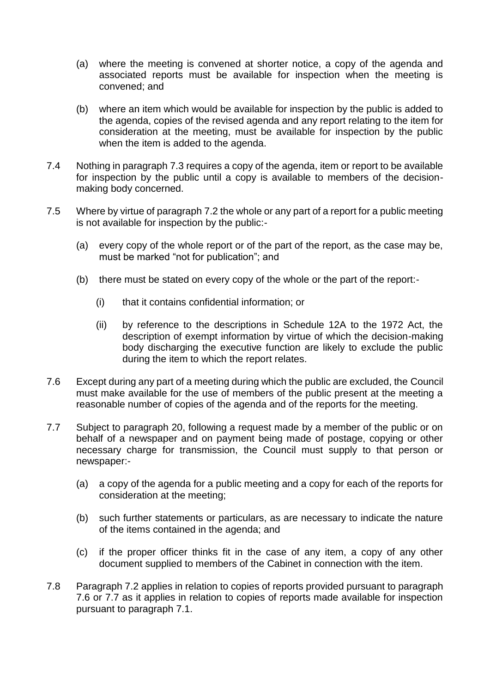- (a) where the meeting is convened at shorter notice, a copy of the agenda and associated reports must be available for inspection when the meeting is convened; and
- (b) where an item which would be available for inspection by the public is added to the agenda, copies of the revised agenda and any report relating to the item for consideration at the meeting, must be available for inspection by the public when the item is added to the agenda.
- 7.4 Nothing in paragraph 7.3 requires a copy of the agenda, item or report to be available for inspection by the public until a copy is available to members of the decisionmaking body concerned.
- 7.5 Where by virtue of paragraph 7.2 the whole or any part of a report for a public meeting is not available for inspection by the public:-
	- (a) every copy of the whole report or of the part of the report, as the case may be, must be marked "not for publication"; and
	- (b) there must be stated on every copy of the whole or the part of the report:-
		- (i) that it contains confidential information; or
		- (ii) by reference to the descriptions in Schedule 12A to the 1972 Act, the description of exempt information by virtue of which the decision-making body discharging the executive function are likely to exclude the public during the item to which the report relates.
- 7.6 Except during any part of a meeting during which the public are excluded, the Council must make available for the use of members of the public present at the meeting a reasonable number of copies of the agenda and of the reports for the meeting.
- 7.7 Subject to paragraph 20, following a request made by a member of the public or on behalf of a newspaper and on payment being made of postage, copying or other necessary charge for transmission, the Council must supply to that person or newspaper:-
	- (a) a copy of the agenda for a public meeting and a copy for each of the reports for consideration at the meeting;
	- (b) such further statements or particulars, as are necessary to indicate the nature of the items contained in the agenda; and
	- (c) if the proper officer thinks fit in the case of any item, a copy of any other document supplied to members of the Cabinet in connection with the item.
- 7.8 Paragraph 7.2 applies in relation to copies of reports provided pursuant to paragraph 7.6 or 7.7 as it applies in relation to copies of reports made available for inspection pursuant to paragraph 7.1.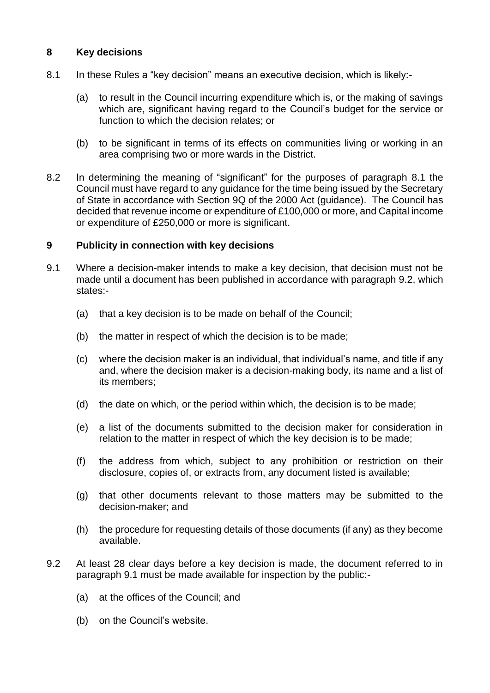# **8 Key decisions**

- 8.1 In these Rules a "key decision" means an executive decision, which is likely:-
	- (a) to result in the Council incurring expenditure which is, or the making of savings which are, significant having regard to the Council's budget for the service or function to which the decision relates; or
	- (b) to be significant in terms of its effects on communities living or working in an area comprising two or more wards in the District.
- 8.2 In determining the meaning of "significant" for the purposes of paragraph 8.1 the Council must have regard to any guidance for the time being issued by the Secretary of State in accordance with Section 9Q of the 2000 Act (guidance). The Council has decided that revenue income or expenditure of £100,000 or more, and Capital income or expenditure of £250,000 or more is significant.

# **9 Publicity in connection with key decisions**

- 9.1 Where a decision-maker intends to make a key decision, that decision must not be made until a document has been published in accordance with paragraph 9.2, which states:-
	- (a) that a key decision is to be made on behalf of the Council;
	- (b) the matter in respect of which the decision is to be made;
	- (c) where the decision maker is an individual, that individual's name, and title if any and, where the decision maker is a decision-making body, its name and a list of its members;
	- (d) the date on which, or the period within which, the decision is to be made;
	- (e) a list of the documents submitted to the decision maker for consideration in relation to the matter in respect of which the key decision is to be made;
	- (f) the address from which, subject to any prohibition or restriction on their disclosure, copies of, or extracts from, any document listed is available;
	- (g) that other documents relevant to those matters may be submitted to the decision-maker; and
	- (h) the procedure for requesting details of those documents (if any) as they become available.
- 9.2 At least 28 clear days before a key decision is made, the document referred to in paragraph 9.1 must be made available for inspection by the public:-
	- (a) at the offices of the Council; and
	- (b) on the Council's website.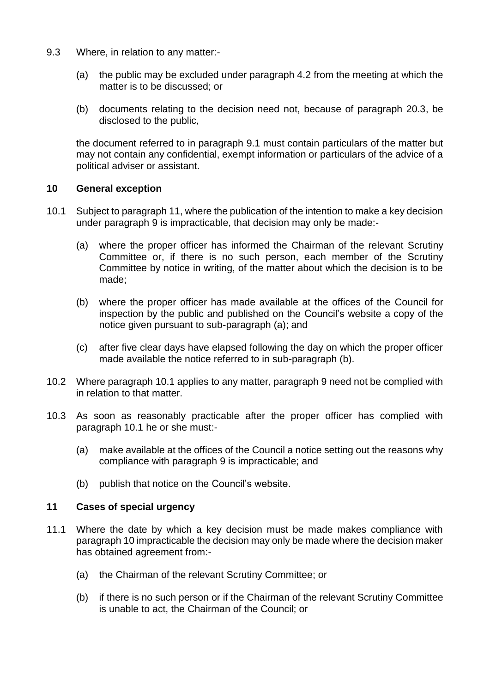- 9.3 Where, in relation to any matter:-
	- (a) the public may be excluded under paragraph 4.2 from the meeting at which the matter is to be discussed; or
	- (b) documents relating to the decision need not, because of paragraph 20.3, be disclosed to the public,

the document referred to in paragraph 9.1 must contain particulars of the matter but may not contain any confidential, exempt information or particulars of the advice of a political adviser or assistant.

#### **10 General exception**

- 10.1 Subject to paragraph 11, where the publication of the intention to make a key decision under paragraph 9 is impracticable, that decision may only be made:-
	- (a) where the proper officer has informed the Chairman of the relevant Scrutiny Committee or, if there is no such person, each member of the Scrutiny Committee by notice in writing, of the matter about which the decision is to be made;
	- (b) where the proper officer has made available at the offices of the Council for inspection by the public and published on the Council's website a copy of the notice given pursuant to sub-paragraph (a); and
	- (c) after five clear days have elapsed following the day on which the proper officer made available the notice referred to in sub-paragraph (b).
- 10.2 Where paragraph 10.1 applies to any matter, paragraph 9 need not be complied with in relation to that matter.
- 10.3 As soon as reasonably practicable after the proper officer has complied with paragraph 10.1 he or she must:-
	- (a) make available at the offices of the Council a notice setting out the reasons why compliance with paragraph 9 is impracticable; and
	- (b) publish that notice on the Council's website.

#### **11 Cases of special urgency**

- 11.1 Where the date by which a key decision must be made makes compliance with paragraph 10 impracticable the decision may only be made where the decision maker has obtained agreement from:-
	- (a) the Chairman of the relevant Scrutiny Committee; or
	- (b) if there is no such person or if the Chairman of the relevant Scrutiny Committee is unable to act, the Chairman of the Council; or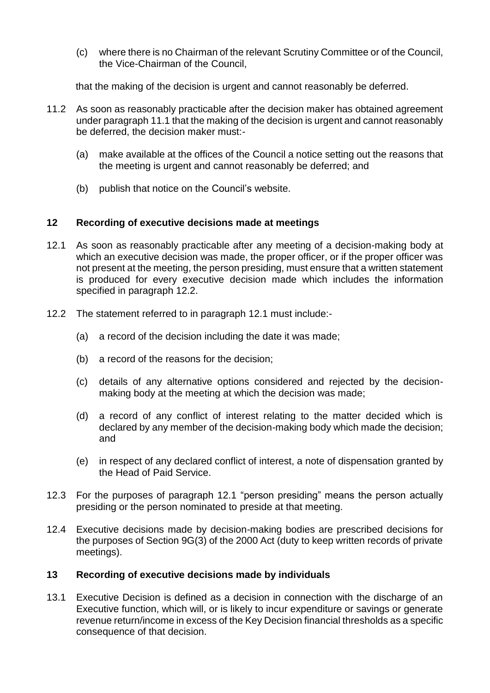(c) where there is no Chairman of the relevant Scrutiny Committee or of the Council, the Vice-Chairman of the Council,

that the making of the decision is urgent and cannot reasonably be deferred.

- 11.2 As soon as reasonably practicable after the decision maker has obtained agreement under paragraph 11.1 that the making of the decision is urgent and cannot reasonably be deferred, the decision maker must:-
	- (a) make available at the offices of the Council a notice setting out the reasons that the meeting is urgent and cannot reasonably be deferred; and
	- (b) publish that notice on the Council's website.

# **12 Recording of executive decisions made at meetings**

- 12.1 As soon as reasonably practicable after any meeting of a decision-making body at which an executive decision was made, the proper officer, or if the proper officer was not present at the meeting, the person presiding, must ensure that a written statement is produced for every executive decision made which includes the information specified in paragraph 12.2.
- 12.2 The statement referred to in paragraph 12.1 must include:-
	- (a) a record of the decision including the date it was made;
	- (b) a record of the reasons for the decision;
	- (c) details of any alternative options considered and rejected by the decisionmaking body at the meeting at which the decision was made;
	- (d) a record of any conflict of interest relating to the matter decided which is declared by any member of the decision-making body which made the decision; and
	- (e) in respect of any declared conflict of interest, a note of dispensation granted by the Head of Paid Service.
- 12.3 For the purposes of paragraph 12.1 "person presiding" means the person actually presiding or the person nominated to preside at that meeting.
- 12.4 Executive decisions made by decision-making bodies are prescribed decisions for the purposes of Section 9G(3) of the 2000 Act (duty to keep written records of private meetings).

# **13 Recording of executive decisions made by individuals**

13.1 Executive Decision is defined as a decision in connection with the discharge of an Executive function, which will, or is likely to incur expenditure or savings or generate revenue return/income in excess of the Key Decision financial thresholds as a specific consequence of that decision.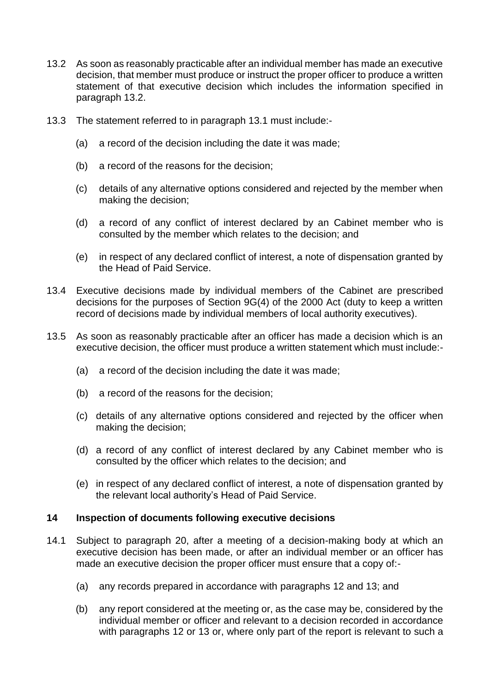- 13.2 As soon as reasonably practicable after an individual member has made an executive decision, that member must produce or instruct the proper officer to produce a written statement of that executive decision which includes the information specified in paragraph 13.2.
- 13.3 The statement referred to in paragraph 13.1 must include:-
	- (a) a record of the decision including the date it was made;
	- (b) a record of the reasons for the decision;
	- (c) details of any alternative options considered and rejected by the member when making the decision;
	- (d) a record of any conflict of interest declared by an Cabinet member who is consulted by the member which relates to the decision; and
	- (e) in respect of any declared conflict of interest, a note of dispensation granted by the Head of Paid Service.
- 13.4 Executive decisions made by individual members of the Cabinet are prescribed decisions for the purposes of Section 9G(4) of the 2000 Act (duty to keep a written record of decisions made by individual members of local authority executives).
- 13.5 As soon as reasonably practicable after an officer has made a decision which is an executive decision, the officer must produce a written statement which must include:-
	- (a) a record of the decision including the date it was made;
	- (b) a record of the reasons for the decision;
	- (c) details of any alternative options considered and rejected by the officer when making the decision;
	- (d) a record of any conflict of interest declared by any Cabinet member who is consulted by the officer which relates to the decision; and
	- (e) in respect of any declared conflict of interest, a note of dispensation granted by the relevant local authority's Head of Paid Service.

#### **14 Inspection of documents following executive decisions**

- 14.1 Subject to paragraph 20, after a meeting of a decision-making body at which an executive decision has been made, or after an individual member or an officer has made an executive decision the proper officer must ensure that a copy of:-
	- (a) any records prepared in accordance with paragraphs 12 and 13; and
	- (b) any report considered at the meeting or, as the case may be, considered by the individual member or officer and relevant to a decision recorded in accordance with paragraphs 12 or 13 or, where only part of the report is relevant to such a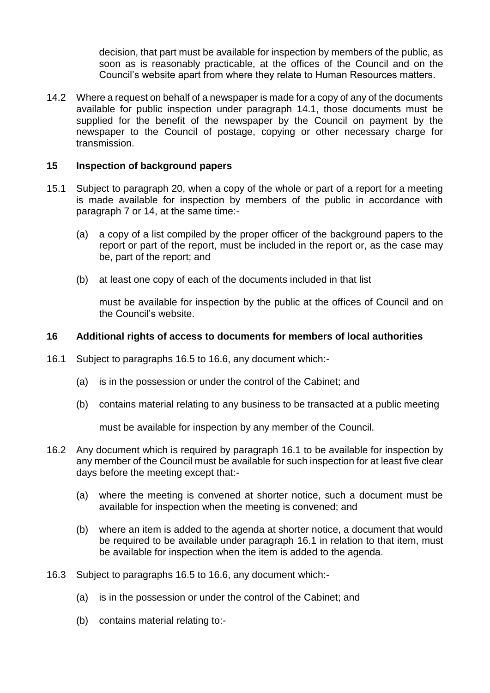decision, that part must be available for inspection by members of the public, as soon as is reasonably practicable, at the offices of the Council and on the Council's website apart from where they relate to Human Resources matters.

14.2 Where a request on behalf of a newspaper is made for a copy of any of the documents available for public inspection under paragraph 14.1, those documents must be supplied for the benefit of the newspaper by the Council on payment by the newspaper to the Council of postage, copying or other necessary charge for transmission.

#### **15 Inspection of background papers**

- 15.1 Subject to paragraph 20, when a copy of the whole or part of a report for a meeting is made available for inspection by members of the public in accordance with paragraph 7 or 14, at the same time:-
	- (a) a copy of a list compiled by the proper officer of the background papers to the report or part of the report, must be included in the report or, as the case may be, part of the report; and
	- (b) at least one copy of each of the documents included in that list

must be available for inspection by the public at the offices of Council and on the Council's website.

#### **16 Additional rights of access to documents for members of local authorities**

- 16.1 Subject to paragraphs 16.5 to 16.6, any document which:-
	- (a) is in the possession or under the control of the Cabinet; and
	- (b) contains material relating to any business to be transacted at a public meeting

must be available for inspection by any member of the Council.

- 16.2 Any document which is required by paragraph 16.1 to be available for inspection by any member of the Council must be available for such inspection for at least five clear days before the meeting except that:-
	- (a) where the meeting is convened at shorter notice, such a document must be available for inspection when the meeting is convened; and
	- (b) where an item is added to the agenda at shorter notice, a document that would be required to be available under paragraph 16.1 in relation to that item, must be available for inspection when the item is added to the agenda.
- 16.3 Subject to paragraphs 16.5 to 16.6, any document which:-
	- (a) is in the possession or under the control of the Cabinet; and
	- (b) contains material relating to:-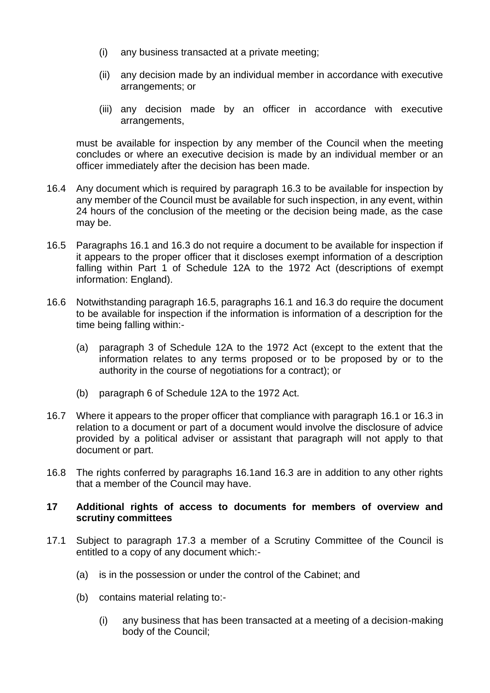- (i) any business transacted at a private meeting;
- (ii) any decision made by an individual member in accordance with executive arrangements; or
- (iii) any decision made by an officer in accordance with executive arrangements,

must be available for inspection by any member of the Council when the meeting concludes or where an executive decision is made by an individual member or an officer immediately after the decision has been made.

- 16.4 Any document which is required by paragraph 16.3 to be available for inspection by any member of the Council must be available for such inspection, in any event, within 24 hours of the conclusion of the meeting or the decision being made, as the case may be.
- 16.5 Paragraphs 16.1 and 16.3 do not require a document to be available for inspection if it appears to the proper officer that it discloses exempt information of a description falling within Part 1 of Schedule 12A to the 1972 Act (descriptions of exempt information: England).
- 16.6 Notwithstanding paragraph 16.5, paragraphs 16.1 and 16.3 do require the document to be available for inspection if the information is information of a description for the time being falling within:-
	- (a) paragraph 3 of Schedule 12A to the 1972 Act (except to the extent that the information relates to any terms proposed or to be proposed by or to the authority in the course of negotiations for a contract); or
	- (b) paragraph 6 of Schedule 12A to the 1972 Act.
- 16.7 Where it appears to the proper officer that compliance with paragraph 16.1 or 16.3 in relation to a document or part of a document would involve the disclosure of advice provided by a political adviser or assistant that paragraph will not apply to that document or part.
- 16.8 The rights conferred by paragraphs 16.1and 16.3 are in addition to any other rights that a member of the Council may have.

#### **17 Additional rights of access to documents for members of overview and scrutiny committees**

- 17.1 Subject to paragraph 17.3 a member of a Scrutiny Committee of the Council is entitled to a copy of any document which:-
	- (a) is in the possession or under the control of the Cabinet; and
	- (b) contains material relating to:-
		- (i) any business that has been transacted at a meeting of a decision-making body of the Council;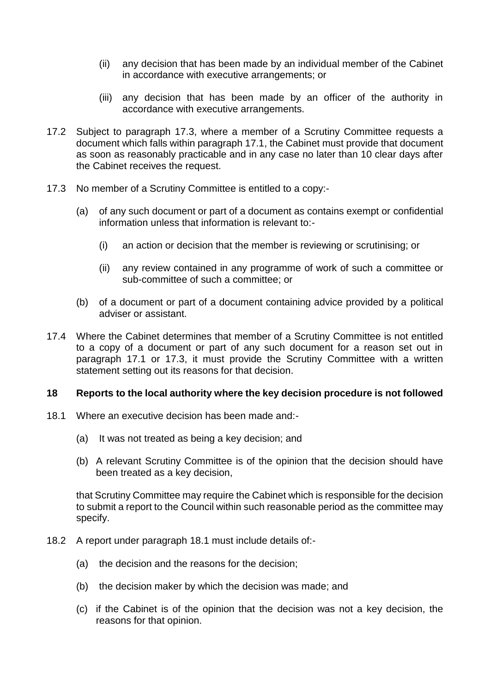- (ii) any decision that has been made by an individual member of the Cabinet in accordance with executive arrangements; or
- (iii) any decision that has been made by an officer of the authority in accordance with executive arrangements.
- 17.2 Subject to paragraph 17.3, where a member of a Scrutiny Committee requests a document which falls within paragraph 17.1, the Cabinet must provide that document as soon as reasonably practicable and in any case no later than 10 clear days after the Cabinet receives the request.
- 17.3 No member of a Scrutiny Committee is entitled to a copy:-
	- (a) of any such document or part of a document as contains exempt or confidential information unless that information is relevant to:-
		- (i) an action or decision that the member is reviewing or scrutinising; or
		- (ii) any review contained in any programme of work of such a committee or sub-committee of such a committee; or
	- (b) of a document or part of a document containing advice provided by a political adviser or assistant.
- 17.4 Where the Cabinet determines that member of a Scrutiny Committee is not entitled to a copy of a document or part of any such document for a reason set out in paragraph 17.1 or 17.3, it must provide the Scrutiny Committee with a written statement setting out its reasons for that decision.

#### **18 Reports to the local authority where the key decision procedure is not followed**

- 18.1 Where an executive decision has been made and:-
	- (a) It was not treated as being a key decision; and
	- (b) A relevant Scrutiny Committee is of the opinion that the decision should have been treated as a key decision,

that Scrutiny Committee may require the Cabinet which is responsible for the decision to submit a report to the Council within such reasonable period as the committee may specify.

- 18.2 A report under paragraph 18.1 must include details of:-
	- (a) the decision and the reasons for the decision;
	- (b) the decision maker by which the decision was made; and
	- (c) if the Cabinet is of the opinion that the decision was not a key decision, the reasons for that opinion.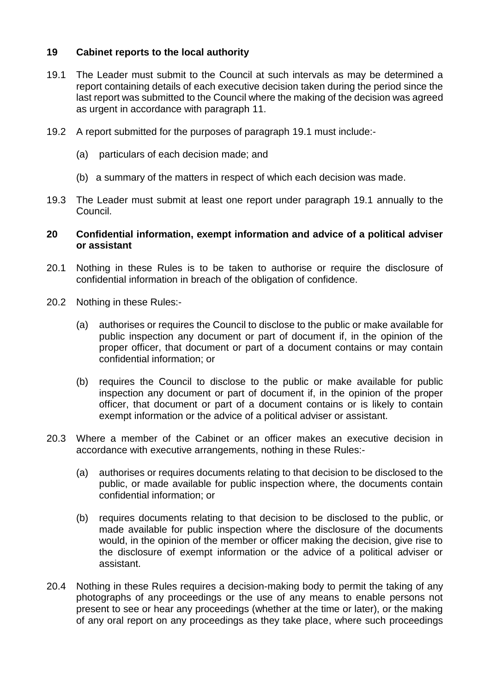# **19 Cabinet reports to the local authority**

- 19.1 The Leader must submit to the Council at such intervals as may be determined a report containing details of each executive decision taken during the period since the last report was submitted to the Council where the making of the decision was agreed as urgent in accordance with paragraph 11.
- 19.2 A report submitted for the purposes of paragraph 19.1 must include:-
	- (a) particulars of each decision made; and
	- (b) a summary of the matters in respect of which each decision was made.
- 19.3 The Leader must submit at least one report under paragraph 19.1 annually to the Council.

#### **20 Confidential information, exempt information and advice of a political adviser or assistant**

- 20.1 Nothing in these Rules is to be taken to authorise or require the disclosure of confidential information in breach of the obligation of confidence.
- 20.2 Nothing in these Rules:-
	- (a) authorises or requires the Council to disclose to the public or make available for public inspection any document or part of document if, in the opinion of the proper officer, that document or part of a document contains or may contain confidential information; or
	- (b) requires the Council to disclose to the public or make available for public inspection any document or part of document if, in the opinion of the proper officer, that document or part of a document contains or is likely to contain exempt information or the advice of a political adviser or assistant.
- 20.3 Where a member of the Cabinet or an officer makes an executive decision in accordance with executive arrangements, nothing in these Rules:-
	- (a) authorises or requires documents relating to that decision to be disclosed to the public, or made available for public inspection where, the documents contain confidential information; or
	- (b) requires documents relating to that decision to be disclosed to the public, or made available for public inspection where the disclosure of the documents would, in the opinion of the member or officer making the decision, give rise to the disclosure of exempt information or the advice of a political adviser or assistant.
- 20.4 Nothing in these Rules requires a decision-making body to permit the taking of any photographs of any proceedings or the use of any means to enable persons not present to see or hear any proceedings (whether at the time or later), or the making of any oral report on any proceedings as they take place, where such proceedings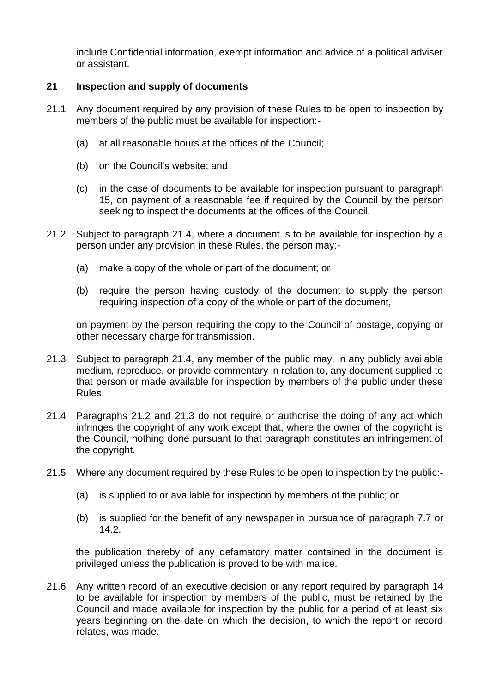include Confidential information, exempt information and advice of a political adviser or assistant.

# **21 Inspection and supply of documents**

- 21.1 Any document required by any provision of these Rules to be open to inspection by members of the public must be available for inspection:-
	- (a) at all reasonable hours at the offices of the Council;
	- (b) on the Council's website; and
	- (c) in the case of documents to be available for inspection pursuant to paragraph 15, on payment of a reasonable fee if required by the Council by the person seeking to inspect the documents at the offices of the Council.
- 21.2 Subject to paragraph 21.4, where a document is to be available for inspection by a person under any provision in these Rules, the person may:-
	- (a) make a copy of the whole or part of the document; or
	- (b) require the person having custody of the document to supply the person requiring inspection of a copy of the whole or part of the document,

on payment by the person requiring the copy to the Council of postage, copying or other necessary charge for transmission.

- 21.3 Subject to paragraph 21.4, any member of the public may, in any publicly available medium, reproduce, or provide commentary in relation to, any document supplied to that person or made available for inspection by members of the public under these Rules.
- 21.4 Paragraphs 21.2 and 21.3 do not require or authorise the doing of any act which infringes the copyright of any work except that, where the owner of the copyright is the Council, nothing done pursuant to that paragraph constitutes an infringement of the copyright.
- 21.5 Where any document required by these Rules to be open to inspection by the public:-
	- (a) is supplied to or available for inspection by members of the public; or
	- (b) is supplied for the benefit of any newspaper in pursuance of paragraph 7.7 or 14.2,

the publication thereby of any defamatory matter contained in the document is privileged unless the publication is proved to be with malice.

21.6 Any written record of an executive decision or any report required by paragraph 14 to be available for inspection by members of the public, must be retained by the Council and made available for inspection by the public for a period of at least six years beginning on the date on which the decision, to which the report or record relates, was made.